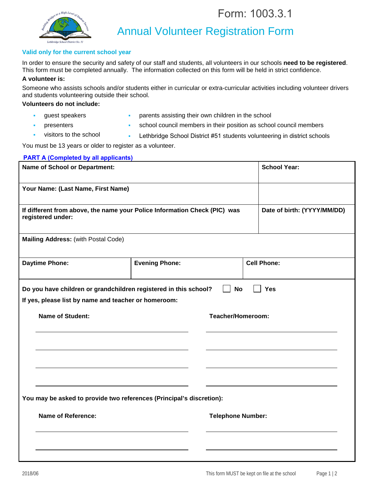Form: 1003.3.1



Annual Volunteer Registration Form

## **Valid only for the current school year**

In order to ensure the security and safety of our staff and students, all volunteers in our schools **need to be registered**. This form must be completed annually. The information collected on this form will be held in strict confidence.

## **A volunteer is:**

Someone who assists schools and/or students either in curricular or extra-curricular activities including volunteer drivers and students volunteering outside their school.

## **Volunteers do not include:**

- guest speakers
- parents assisting their own children in the school
- presenters
- school council members in their position as school council members
- visitors to the school
- **Lethbridge School District #51 students volunteering in district schools**

You must be 13 years or older to register as a volunteer.

| <b>PART A (Completed by all applicants)</b>                                                                              |                       |                          |                             |  |
|--------------------------------------------------------------------------------------------------------------------------|-----------------------|--------------------------|-----------------------------|--|
| <b>Name of School or Department:</b>                                                                                     |                       |                          | <b>School Year:</b>         |  |
| Your Name: (Last Name, First Name)                                                                                       |                       |                          |                             |  |
| If different from above, the name your Police Information Check (PIC) was<br>registered under:                           |                       |                          | Date of birth: (YYYY/MM/DD) |  |
| Mailing Address: (with Postal Code)                                                                                      |                       |                          |                             |  |
| <b>Daytime Phone:</b>                                                                                                    | <b>Evening Phone:</b> |                          | <b>Cell Phone:</b>          |  |
| Do you have children or grandchildren registered in this school?<br>If yes, please list by name and teacher or homeroom: |                       | <b>No</b>                | <b>Yes</b>                  |  |
|                                                                                                                          |                       |                          |                             |  |
| <b>Name of Student:</b>                                                                                                  | Teacher/Homeroom:     |                          |                             |  |
|                                                                                                                          |                       |                          |                             |  |
|                                                                                                                          |                       |                          |                             |  |
| You may be asked to provide two references (Principal's discretion):                                                     |                       |                          |                             |  |
| <b>Name of Reference:</b>                                                                                                |                       | <b>Telephone Number:</b> |                             |  |
|                                                                                                                          |                       |                          |                             |  |